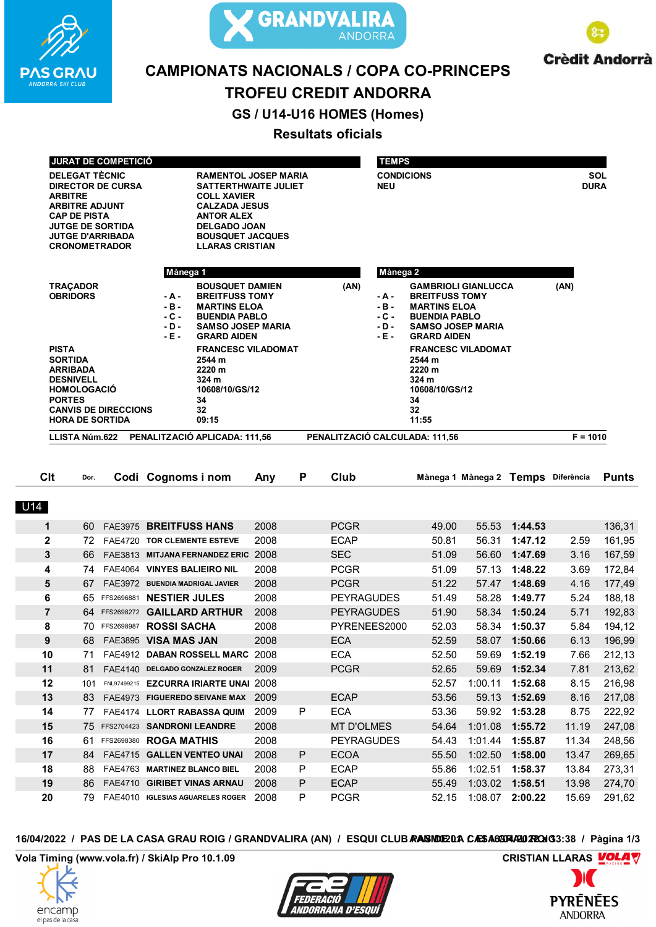



**Crèdit Andorrà** 

# **CAMPIONATS NACIONALS / COPA CO-PRINCEPS**

# **TROFEU CREDIT ANDORRA**

GS / U14-U16 HOMES (Homes)

## **Resultats oficials**

|                | <b>JURAT DE COMPETICIÓ</b>                                                                                                                                                                                  |                                                                                                        |                                 |                                                                                                                                                                                                                                                                                                              |      |   |                   | <b>TEMPS</b>                               |                                                                                                                                                                                                                                                       |         |               |                    |              |
|----------------|-------------------------------------------------------------------------------------------------------------------------------------------------------------------------------------------------------------|--------------------------------------------------------------------------------------------------------|---------------------------------|--------------------------------------------------------------------------------------------------------------------------------------------------------------------------------------------------------------------------------------------------------------------------------------------------------------|------|---|-------------------|--------------------------------------------|-------------------------------------------------------------------------------------------------------------------------------------------------------------------------------------------------------------------------------------------------------|---------|---------------|--------------------|--------------|
|                | <b>DELEGAT TÈCNIC</b><br><b>ARBITRE</b><br><b>ARBITRE ADJUNT</b><br><b>CAP DE PISTA</b>                                                                                                                     | <b>DIRECTOR DE CURSA</b><br><b>JUTGE DE SORTIDA</b><br><b>JUTGE D'ARRIBADA</b><br><b>CRONOMETRADOR</b> |                                 | <b>RAMENTOL JOSEP MARIA</b><br><b>SATTERTHWAITE JULIET</b><br><b>COLL XAVIER</b><br><b>CALZADA JESUS</b><br><b>ANTOR ALEX</b><br><b>DELGADO JOAN</b><br><b>BOUSQUET JACQUES</b><br><b>LLARAS CRISTIAN</b>                                                                                                    |      |   |                   | <b>CONDICIONS</b><br><b>NEU</b>            |                                                                                                                                                                                                                                                       |         |               | SOL<br><b>DURA</b> |              |
|                |                                                                                                                                                                                                             |                                                                                                        | Mànega 1                        |                                                                                                                                                                                                                                                                                                              |      |   | Mànega 2          |                                            |                                                                                                                                                                                                                                                       |         |               |                    |              |
|                | <b>TRAÇADOR</b><br><b>OBRIDORS</b><br><b>PISTA</b><br><b>SORTIDA</b><br><b>ARRIBADA</b><br><b>DESNIVELL</b><br><b>HOMOLOGACIO</b><br><b>PORTES</b><br><b>CANVIS DE DIRECCIONS</b><br><b>HORA DE SORTIDA</b> |                                                                                                        |                                 | <b>BOUSQUET DAMIEN</b><br><b>BREITFUSS TOMY</b><br>- A -<br>$-B -$<br><b>MARTINS ELOA</b><br>$-C -$<br><b>BUENDIA PABLO</b><br>- D -<br><b>SAMSO JOSEP MARIA</b><br>$-E$ -<br><b>GRARD AIDEN</b><br><b>FRANCESC VILADOMAT</b><br>2544 m<br>2220 m<br>324 <sub>m</sub><br>10608/10/GS/12<br>34<br>32<br>09:15 |      |   | (AN)              | - A -<br>$-B -$<br>- C -<br>- D -<br>- E - | <b>GAMBRIOLI GIANLUCCA</b><br><b>BREITFUSS TOMY</b><br><b>MARTINS ELOA</b><br><b>BUENDIA PABLO</b><br><b>SAMSO JOSEP MARIA</b><br><b>GRARD AIDEN</b><br><b>FRANCESC VILADOMAT</b><br>2544 m<br>2220 m<br>324 m<br>10608/10/GS/12<br>34<br>32<br>11:55 |         |               | (AN)               |              |
|                | LLISTA Núm.622                                                                                                                                                                                              |                                                                                                        |                                 | PENALITZACIÓ APLICADA: 111,56                                                                                                                                                                                                                                                                                |      |   |                   |                                            | PENALITZACIÓ CALCULADA: 111,56                                                                                                                                                                                                                        |         |               |                    | $F = 1010$   |
|                |                                                                                                                                                                                                             |                                                                                                        |                                 |                                                                                                                                                                                                                                                                                                              |      |   |                   |                                            |                                                                                                                                                                                                                                                       |         |               |                    |              |
| <b>Clt</b>     | Dor.                                                                                                                                                                                                        |                                                                                                        | Codi Cognoms i nom              |                                                                                                                                                                                                                                                                                                              | Any  | P | <b>Club</b>       |                                            | Mànega 1 Mànega 2 Temps Diferència                                                                                                                                                                                                                    |         |               |                    | <b>Punts</b> |
| U14            |                                                                                                                                                                                                             |                                                                                                        |                                 |                                                                                                                                                                                                                                                                                                              |      |   |                   |                                            |                                                                                                                                                                                                                                                       |         |               |                    |              |
| 1              | 60                                                                                                                                                                                                          |                                                                                                        | FAE3975 BREITFUSS HANS          |                                                                                                                                                                                                                                                                                                              | 2008 |   | <b>PCGR</b>       |                                            | 49.00                                                                                                                                                                                                                                                 | 55.53   | 1:44.53       |                    | 136,31       |
| $\overline{2}$ | 72                                                                                                                                                                                                          |                                                                                                        | FAE4720 TOR CLEMENTE ESTEVE     |                                                                                                                                                                                                                                                                                                              | 2008 |   | <b>ECAP</b>       |                                            | 50.81                                                                                                                                                                                                                                                 | 56.31   | 1:47.12       | 2.59               | 161,95       |
| 3              | 66                                                                                                                                                                                                          |                                                                                                        |                                 | FAE3813 MITJANA FERNANDEZ ERIC 2008                                                                                                                                                                                                                                                                          |      |   | <b>SEC</b>        |                                            | 51.09                                                                                                                                                                                                                                                 | 56.60   | 1:47.69       | 3.16               | 167,59       |
| 4              | 74                                                                                                                                                                                                          |                                                                                                        | FAE4064 VINYES BALIEIRO NIL     |                                                                                                                                                                                                                                                                                                              | 2008 |   | <b>PCGR</b>       |                                            | 51.09                                                                                                                                                                                                                                                 | 57.13   | 1:48.22       | 3.69               | 172,84       |
| 5              | 67                                                                                                                                                                                                          |                                                                                                        | FAE3972 BUENDIA MADRIGAL JAVIER |                                                                                                                                                                                                                                                                                                              | 2008 |   | <b>PCGR</b>       |                                            | 51.22                                                                                                                                                                                                                                                 | 57.47   | 1:48.69       | 4.16               | 177,49       |
| 6              |                                                                                                                                                                                                             |                                                                                                        | 65 FFS2696881 NESTIER JULES     |                                                                                                                                                                                                                                                                                                              | 2008 |   | <b>PEYRAGUDES</b> |                                            | 51.49                                                                                                                                                                                                                                                 | 58.28   | 1:49.77       | 5.24               | 188,18       |
| $\overline{7}$ |                                                                                                                                                                                                             |                                                                                                        |                                 | 64 FFS2698272 GAILLARD ARTHUR                                                                                                                                                                                                                                                                                | 2008 |   | <b>PEYRAGUDES</b> |                                            | 51.90                                                                                                                                                                                                                                                 | 58.34   | 1:50.24       | 5.71               | 192,83       |
| 8              |                                                                                                                                                                                                             | 70 FFS2698987                                                                                          | <b>ROSSI SACHA</b>              |                                                                                                                                                                                                                                                                                                              | 2008 |   | PYRENEES2000      |                                            | 52.03                                                                                                                                                                                                                                                 | 58.34   | 1:50.37       | 5.84               | 194,12       |
| 9              | 68                                                                                                                                                                                                          |                                                                                                        | FAE3895 VISA MAS JAN            |                                                                                                                                                                                                                                                                                                              | 2008 |   | <b>ECA</b>        |                                            | 52.59                                                                                                                                                                                                                                                 | 58.07   | 1:50.66       | 6.13               | 196,99       |
| 10             |                                                                                                                                                                                                             |                                                                                                        |                                 | 71 FAE4912 DABAN ROSSELL MARC 2008                                                                                                                                                                                                                                                                           |      |   | <b>ECA</b>        |                                            | 52.50                                                                                                                                                                                                                                                 |         | 59.69 1:52.19 | 7.66               | 212,13       |
| 11             | 81.                                                                                                                                                                                                         |                                                                                                        |                                 | FAE4140 DELGADO GONZALEZ ROGER                                                                                                                                                                                                                                                                               | 2009 |   | <b>PCGR</b>       |                                            | 52.65                                                                                                                                                                                                                                                 |         | 59.69 1:52.34 | 7.81               | 213,62       |
| 12             |                                                                                                                                                                                                             |                                                                                                        |                                 | 101 FNL97499215 EZCURRA IRIARTE UNAI 2008                                                                                                                                                                                                                                                                    |      |   |                   |                                            | 52.57                                                                                                                                                                                                                                                 | 1:00.11 | 1:52.68       | 8.15               | 216,98       |
| 13             |                                                                                                                                                                                                             |                                                                                                        |                                 | 83 FAE4973 FIGUEREDO SEIVANE MAX 2009                                                                                                                                                                                                                                                                        |      |   | <b>ECAP</b>       |                                            | 53.56                                                                                                                                                                                                                                                 | 59.13   | 1:52.69       | 8.16               | 217,08       |
| 14             | 77                                                                                                                                                                                                          |                                                                                                        |                                 | FAE4174 LLORT RABASSA QUIM                                                                                                                                                                                                                                                                                   | 2009 | P | <b>ECA</b>        |                                            | 53.36                                                                                                                                                                                                                                                 | 59.92   | 1:53.28       | 8.75               | 222,92       |
| 15             |                                                                                                                                                                                                             |                                                                                                        | 75 FFS2704423 SANDRONI LEANDRE  |                                                                                                                                                                                                                                                                                                              | 2008 |   | <b>MT D'OLMES</b> |                                            | 54.64                                                                                                                                                                                                                                                 | 1:01.08 | 1:55.72       | 11.19              | 247,08       |
| 16             | 61                                                                                                                                                                                                          |                                                                                                        | FFS2698380 ROGA MATHIS          |                                                                                                                                                                                                                                                                                                              | 2008 |   | <b>PEYRAGUDES</b> |                                            | 54.43                                                                                                                                                                                                                                                 | 1:01.44 | 1:55.87       | 11.34              | 248,56       |
| 17             | 84                                                                                                                                                                                                          |                                                                                                        |                                 | FAE4715 GALLEN VENTEO UNAI                                                                                                                                                                                                                                                                                   | 2008 | P | <b>ECOA</b>       |                                            | 55.50                                                                                                                                                                                                                                                 | 1:02.50 | 1:58.00       | 13.47              | 269,65       |
| 18             |                                                                                                                                                                                                             |                                                                                                        | 88 FAE4763 MARTINEZ BLANCO BIEL |                                                                                                                                                                                                                                                                                                              | 2008 | P | <b>ECAP</b>       |                                            | 55.86                                                                                                                                                                                                                                                 | 1:02.51 | 1:58.37       | 13.84              | 273,31       |
| 19             | 86                                                                                                                                                                                                          |                                                                                                        |                                 | FAE4710 GIRIBET VINAS ARNAU                                                                                                                                                                                                                                                                                  | 2008 | P | <b>ECAP</b>       |                                            | 55.49                                                                                                                                                                                                                                                 | 1:03.02 | 1:58.51       | 13.98              | 274,70       |
| 20             | 79 -                                                                                                                                                                                                        |                                                                                                        |                                 | FAE4010 IGLESIAS AGUARELES ROGER                                                                                                                                                                                                                                                                             | 2008 | P | <b>PCGR</b>       |                                            | 52.15                                                                                                                                                                                                                                                 | 1:08.07 | 2:00.22       | 15.69              | 291,62       |

16/04/2022 / PAS DE LA CASA GRAU ROIG / GRANDVALIRA (AN) / ESQUI CLUB RASIDIEDA CASA6GRA2072CHG3:38 / Pàgina 1/3

Vola Timing (www.vola.fr) / SkiAlp Pro 10.1.09





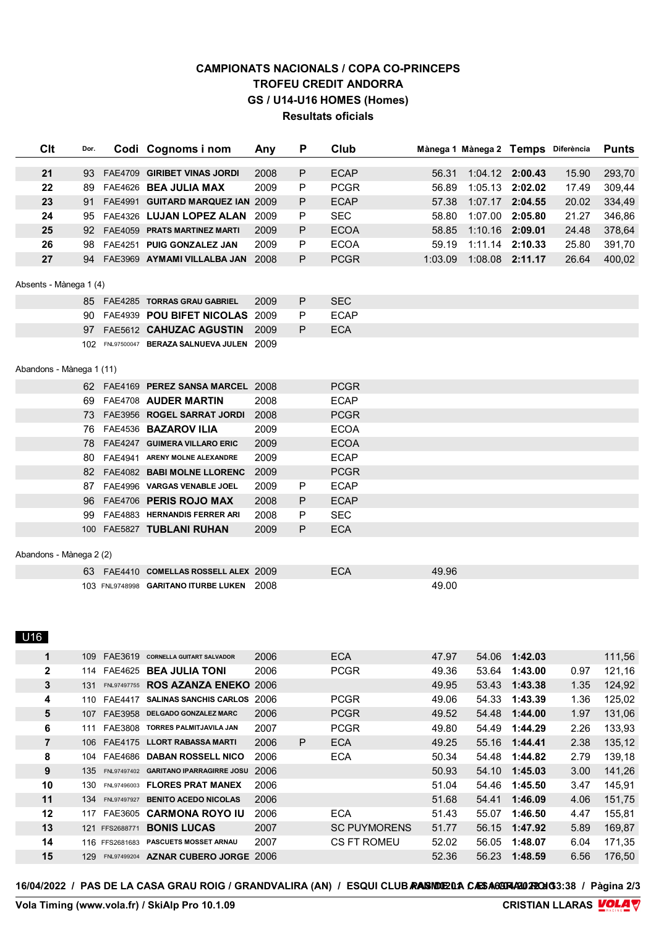### **CAMPIONATS NACIONALS / COPA CO-PRINCEPS TROFEU CREDIT ANDORRA** GS / U14-U16 HOMES (Homes) **Resultats oficials**

| <b>Clt</b>               | Dor. | Codi Cognoms i nom                         | Any  | P | Club                |       | Mànega 1 Mànega 2 Temps Diferència |                 |       | <b>Punts</b> |
|--------------------------|------|--------------------------------------------|------|---|---------------------|-------|------------------------------------|-----------------|-------|--------------|
| 21                       | 93   | FAE4709 GIRIBET VINAS JORDI                | 2008 | P | <b>ECAP</b>         | 56.31 |                                    | 1:04.12 2:00.43 | 15.90 | 293,70       |
| 22                       | 89   | FAE4626 BEA JULIA MAX                      | 2009 | Ρ | <b>PCGR</b>         | 56.89 |                                    | 1:05.13 2:02.02 | 17.49 | 309,44       |
| 23                       | 91   | FAE4991 GUITARD MARQUEZ IAN 2009           |      | P | <b>ECAP</b>         | 57.38 |                                    | 1:07.17 2:04.55 | 20.02 | 334,49       |
| 24                       | 95   | FAE4326 LUJAN LOPEZ ALAN 2009              |      | Р | <b>SEC</b>          | 58.80 | 1:07.00                            | 2:05.80         | 21.27 | 346,86       |
| 25                       | 92   | FAE4059 PRATS MARTINEZ MARTI               | 2009 | P | <b>ECOA</b>         | 58.85 |                                    | 1:10.16 2:09.01 | 24.48 | 378,64       |
| 26                       | 98   | FAE4251 PUIG GONZALEZ JAN                  | 2009 | P | <b>ECOA</b>         | 59.19 | 1:11.14                            | 2:10.33         | 25.80 | 391,70       |
| 27                       |      | 94 FAE3969 AYMAMI VILLALBA JAN 2008        |      | P | <b>PCGR</b>         |       | 1:03.09  1:08.08  2:11.17          |                 | 26.64 | 400,02       |
| Absents - Mànega 1 (4)   |      |                                            |      |   |                     |       |                                    |                 |       |              |
|                          |      | 85 FAE4285 TORRAS GRAU GABRIEL             | 2009 | P | <b>SEC</b>          |       |                                    |                 |       |              |
|                          |      | 90 FAE4939 POU BIFET NICOLAS 2009          |      | P | <b>ECAP</b>         |       |                                    |                 |       |              |
|                          | 97   | FAE5612 CAHUZAC AGUSTIN                    | 2009 | P | <b>ECA</b>          |       |                                    |                 |       |              |
|                          |      | 102 FNL97500047 BERAZA SALNUEVA JULEN 2009 |      |   |                     |       |                                    |                 |       |              |
| Abandons - Mànega 1 (11) |      |                                            |      |   |                     |       |                                    |                 |       |              |
|                          |      | 62 FAE4169 PEREZ SANSA MARCEL 2008         |      |   | <b>PCGR</b>         |       |                                    |                 |       |              |
|                          |      | 69 FAE4708 AUDER MARTIN                    | 2008 |   | <b>ECAP</b>         |       |                                    |                 |       |              |
|                          |      | 73 FAE3956 ROGEL SARRAT JORDI              | 2008 |   | <b>PCGR</b>         |       |                                    |                 |       |              |
|                          | 76 - | FAE4536 BAZAROV ILIA                       | 2009 |   | <b>ECOA</b>         |       |                                    |                 |       |              |
|                          | 78 - | FAE4247 GUIMERA VILLARO ERIC               | 2009 |   | <b>ECOA</b>         |       |                                    |                 |       |              |
|                          |      | 80 FAE4941 ARENY MOLNE ALEXANDRE           | 2009 |   | <b>ECAP</b>         |       |                                    |                 |       |              |
|                          |      | 82 FAE4082 BABI MOLNE LLORENC              | 2009 |   | <b>PCGR</b>         |       |                                    |                 |       |              |
|                          | 87   | FAE4996 VARGAS VENABLE JOEL                | 2009 | P | <b>ECAP</b>         |       |                                    |                 |       |              |
|                          | 96   | FAE4706 PERIS ROJO MAX                     | 2008 | P | <b>ECAP</b>         |       |                                    |                 |       |              |
|                          | 99   | FAE4883 HERNANDIS FERRER ARI               | 2008 | Р | <b>SEC</b>          |       |                                    |                 |       |              |
|                          |      | 100 FAE5827 TUBLANI RUHAN                  | 2009 | P | <b>ECA</b>          |       |                                    |                 |       |              |
| Abandons - Mànega 2 (2)  |      |                                            |      |   |                     |       |                                    |                 |       |              |
|                          |      | 63 FAE4410 COMELLAS ROSSELL ALEX 2009      |      |   | <b>ECA</b>          | 49.96 |                                    |                 |       |              |
|                          |      | 103 FNL9748998 GARITANO ITURBE LUKEN 2008  |      |   |                     | 49.00 |                                    |                 |       |              |
| U16                      |      |                                            |      |   |                     |       |                                    |                 |       |              |
| 1                        | 109  | FAE3619 CORNELLA GUITART SALVADOR          | 2006 |   | <b>ECA</b>          | 47.97 | 54.06                              | 1:42.03         |       | 111,56       |
| 2                        | 114  | FAE4625 <b>BEA JULIA TONI</b>              | 2006 |   | <b>PCGR</b>         | 49.36 | 53.64                              | 1:43.00         | 0.97  | 121,16       |
| 3                        | 131  | <b>FNL97497755 ROS AZANZA ENEKO 2006</b>   |      |   |                     | 49.95 | 53.43                              | 1:43.38         | 1.35  | 124,92       |
| 4                        |      | 110 FAE4417 SALINAS SANCHIS CARLOS 2006    |      |   | <b>PCGR</b>         | 49.06 | 54.33                              | 1:43.39         | 1.36  | 125,02       |
| 5                        | 107  | FAE3958 DELGADO GONZALEZ MARC              | 2006 |   | <b>PCGR</b>         | 49.52 | 54.48                              | 1:44.00         | 1.97  | 131,06       |
| 6                        | 111  | FAE3808 TORRES PALMITJAVILA JAN            | 2007 |   | <b>PCGR</b>         | 49.80 | 54.49                              | 1:44.29         | 2.26  | 133,93       |
| 7                        | 106  | FAE4175 LLORT RABASSA MARTI                | 2006 | P | <b>ECA</b>          | 49.25 | 55.16                              | 1:44.41         | 2.38  | 135,12       |
| 8                        | 104  | FAE4686 DABAN ROSSELL NICO                 | 2006 |   | <b>ECA</b>          | 50.34 | 54.48                              | 1:44.82         | 2.79  | 139,18       |
| 9                        | 135  | FNL97497402 GARITANO IPARRAGIRRE JOSU 2006 |      |   |                     | 50.93 | 54.10                              | 1:45.03         | 3.00  | 141,26       |
| 10                       | 130  | FNL97496003 FLORES PRAT MANEX              | 2006 |   |                     | 51.04 | 54.46                              | 1:45.50         | 3.47  | 145,91       |
| 11                       | 134  | FNL97497927 BENITO ACEDO NICOLAS           | 2006 |   |                     | 51.68 | 54.41                              | 1:46.09         | 4.06  | 151,75       |
| 12                       | 117  | FAE3605 CARMONA ROYO IU                    | 2006 |   | <b>ECA</b>          | 51.43 | 55.07                              | 1:46.50         | 4.47  | 155,81       |
| 13                       |      | 121 FFS2688771 <b>BONIS LUCAS</b>          | 2007 |   | <b>SC PUYMORENS</b> | 51.77 | 56.15                              | 1:47.92         | 5.89  | 169,87       |
| 14                       |      | 116 FFS2681683 PASCUETS MOSSET ARNAU       | 2007 |   | <b>CS FT ROMEU</b>  | 52.02 | 56.05                              | 1:48.07         | 6.04  | 171,35       |
| 15                       |      | 129 FNL97499204 AZNAR CUBERO JORGE 2006    |      |   |                     | 52.36 | 56.23                              | 1:48.59         | 6.56  | 176,50       |
|                          |      |                                            |      |   |                     |       |                                    |                 |       |              |

16/04/2022 / PAS DE LA CASA GRAU ROIG / GRANDVALIRA (AN) / ESQUI CLUB RASIDIEDA CASA6GRAZIO 72CHO3:38 / Pàgina 2/3